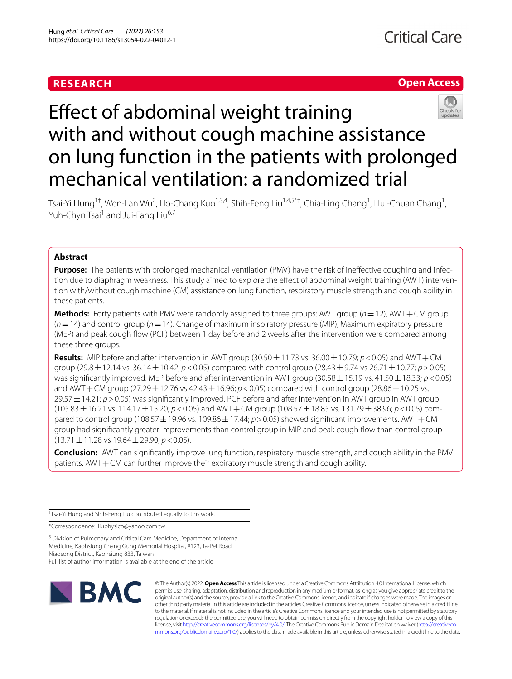# **RESEARCH**

# **Open Access**



# Effect of abdominal weight training with and without cough machine assistance on lung function in the patients with prolonged mechanical ventilation: a randomized trial

Tsai-Yi Hung<sup>1†</sup>, Wen-Lan Wu<sup>2</sup>, Ho-Chang Kuo<sup>1,3,4</sup>, Shih-Feng Liu<sup>1,4,5\*†</sup>, Chia-Ling Chang<sup>1</sup>, Hui-Chuan Chang<sup>1</sup>, Yuh-Chyn Tsai<sup>1</sup> and Jui-Fang Liu<sup>6,7</sup>

# **Abstract**

**Purpose:** The patients with prolonged mechanical ventilation (PMV) have the risk of ineffective coughing and infection due to diaphragm weakness. This study aimed to explore the effect of abdominal weight training (AWT) intervention with/without cough machine (CM) assistance on lung function, respiratory muscle strength and cough ability in these patients.

**Methods:** Forty patients with PMV were randomly assigned to three groups: AWT group  $(n = 12)$ , AWT + CM group (*n*=14) and control group (*n*=14). Change of maximum inspiratory pressure (MIP), Maximum expiratory pressure (MEP) and peak cough fow (PCF) between 1 day before and 2 weeks after the intervention were compared among these three groups.

**Results:** MIP before and after intervention in AWT group  $(30.50 \pm 11.73 \text{ vs. } 36.00 \pm 10.79; p < 0.05)$  and AWT + CM group (29.8±12.14 vs. 36.14±10.42; *p*<0.05) compared with control group (28.43±9.74 vs 26.71±10.77; *p*>0.05) was significantly improved. MEP before and after intervention in AWT group (30.58  $\pm$  15.19 vs. 41.50  $\pm$  18.33; *p* < 0.05) and AWT + CM group (27.29  $\pm$  12.76 vs 42.43  $\pm$  16.96; *p* < 0.05) compared with control group (28.86  $\pm$  10.25 vs. 29.57±14.21; *p*>0.05) was signifcantly improved. PCF before and after intervention in AWT group in AWT group (105.83±16.21 vs. 114.17±15.20; *p*<0.05) and AWT+CM group (108.57±18.85 vs. 131.79±38.96; *p*<0.05) com‑ pared to control group (108.57  $\pm$  19.96 vs. 109.86  $\pm$  17.44; *p*>0.05) showed significant improvements. AWT + CM group had signifcantly greater improvements than control group in MIP and peak cough fow than control group (13.71±11.28 vs 19.64±29.90, *p*<0.05).

**Conclusion:** AWT can signifcantly improve lung function, respiratory muscle strength, and cough ability in the PMV patients. AWT+CM can further improve their expiratory muscle strength and cough ability.

† Tsai-Yi Hung and Shih-Feng Liu contributed equally to this work.

\*Correspondence: liuphysico@yahoo.com.tw

<sup>5</sup> Division of Pulmonary and Critical Care Medicine, Department of Internal Medicine, Kaohsiung Chang Gung Memorial Hospital, #123, Ta‑Pei Road, Niaosong District, Kaohsiung 833, Taiwan Full list of author information is available at the end of the article



© The Author(s) 2022. **Open Access** This article is licensed under a Creative Commons Attribution 4.0 International License, which permits use, sharing, adaptation, distribution and reproduction in any medium or format, as long as you give appropriate credit to the original author(s) and the source, provide a link to the Creative Commons licence, and indicate if changes were made. The images or other third party material in this article are included in the article's Creative Commons licence, unless indicated otherwise in a credit line to the material. If material is not included in the article's Creative Commons licence and your intended use is not permitted by statutory regulation or exceeds the permitted use, you will need to obtain permission directly from the copyright holder. To view a copy of this licence, visit [http://creativecommons.org/licenses/by/4.0/.](http://creativecommons.org/licenses/by/4.0/) The Creative Commons Public Domain Dedication waiver ([http://creativeco](http://creativecommons.org/publicdomain/zero/1.0/) [mmons.org/publicdomain/zero/1.0/](http://creativecommons.org/publicdomain/zero/1.0/)) applies to the data made available in this article, unless otherwise stated in a credit line to the data.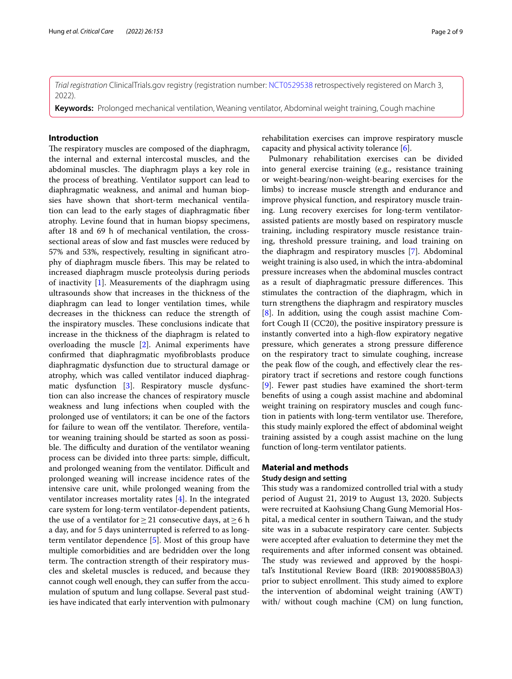*Trial registration* ClinicalTrials.gov registry (registration number: [NCT0529538](https://clinicaltrials.gov/ct2/show/NCT0529538) retrospectively registered on March 3, 2022).

**Keywords:** Prolonged mechanical ventilation, Weaning ventilator, Abdominal weight training, Cough machine

# **Introduction**

The respiratory muscles are composed of the diaphragm, the internal and external intercostal muscles, and the abdominal muscles. The diaphragm plays a key role in the process of breathing. Ventilator support can lead to diaphragmatic weakness, and animal and human biopsies have shown that short-term mechanical ventilation can lead to the early stages of diaphragmatic fber atrophy. Levine found that in human biopsy specimens, after 18 and 69 h of mechanical ventilation, the crosssectional areas of slow and fast muscles were reduced by 57% and 53%, respectively, resulting in signifcant atrophy of diaphragm muscle fibers. This may be related to increased diaphragm muscle proteolysis during periods of inactivity [\[1](#page-8-0)]. Measurements of the diaphragm using ultrasounds show that increases in the thickness of the diaphragm can lead to longer ventilation times, while decreases in the thickness can reduce the strength of the inspiratory muscles. These conclusions indicate that increase in the thickness of the diaphragm is related to overloading the muscle [\[2](#page-8-1)]. Animal experiments have confrmed that diaphragmatic myofbroblasts produce diaphragmatic dysfunction due to structural damage or atrophy, which was called ventilator induced diaphragmatic dysfunction [\[3](#page-8-2)]. Respiratory muscle dysfunction can also increase the chances of respiratory muscle weakness and lung infections when coupled with the prolonged use of ventilators; it can be one of the factors for failure to wean off the ventilator. Therefore, ventilator weaning training should be started as soon as possible. The difficulty and duration of the ventilator weaning process can be divided into three parts: simple, difficult, and prolonged weaning from the ventilator. Difficult and prolonged weaning will increase incidence rates of the intensive care unit, while prolonged weaning from the ventilator increases mortality rates [\[4](#page-8-3)]. In the integrated care system for long-term ventilator-dependent patients, the use of a ventilator for  $\geq$  21 consecutive days, at  $\geq$  6 h a day, and for 5 days uninterrupted is referred to as longterm ventilator dependence [\[5](#page-8-4)]. Most of this group have multiple comorbidities and are bedridden over the long term. The contraction strength of their respiratory muscles and skeletal muscles is reduced, and because they cannot cough well enough, they can sufer from the accumulation of sputum and lung collapse. Several past studies have indicated that early intervention with pulmonary

rehabilitation exercises can improve respiratory muscle capacity and physical activity tolerance [[6\]](#page-8-5).

Pulmonary rehabilitation exercises can be divided into general exercise training (e.g., resistance training or weight-bearing/non-weight-bearing exercises for the limbs) to increase muscle strength and endurance and improve physical function, and respiratory muscle training. Lung recovery exercises for long-term ventilatorassisted patients are mostly based on respiratory muscle training, including respiratory muscle resistance training, threshold pressure training, and load training on the diaphragm and respiratory muscles [\[7](#page-8-6)]. Abdominal weight training is also used, in which the intra-abdominal pressure increases when the abdominal muscles contract as a result of diaphragmatic pressure differences. This stimulates the contraction of the diaphragm, which in turn strengthens the diaphragm and respiratory muscles [[8\]](#page-8-7). In addition, using the cough assist machine Comfort Cough II (CC20), the positive inspiratory pressure is instantly converted into a high-fow expiratory negative pressure, which generates a strong pressure diference on the respiratory tract to simulate coughing, increase the peak flow of the cough, and effectively clear the respiratory tract if secretions and restore cough functions [[9\]](#page-8-8). Fewer past studies have examined the short-term benefts of using a cough assist machine and abdominal weight training on respiratory muscles and cough function in patients with long-term ventilator use. Therefore, this study mainly explored the efect of abdominal weight training assisted by a cough assist machine on the lung function of long-term ventilator patients.

# **Material and methods**

# **Study design and setting**

This study was a randomized controlled trial with a study period of August 21, 2019 to August 13, 2020. Subjects were recruited at Kaohsiung Chang Gung Memorial Hospital, a medical center in southern Taiwan, and the study site was in a subacute respiratory care center. Subjects were accepted after evaluation to determine they met the requirements and after informed consent was obtained. The study was reviewed and approved by the hospital's Institutional Review Board (IRB: 201900885B0A3) prior to subject enrollment. This study aimed to explore the intervention of abdominal weight training (AWT) with/ without cough machine (CM) on lung function,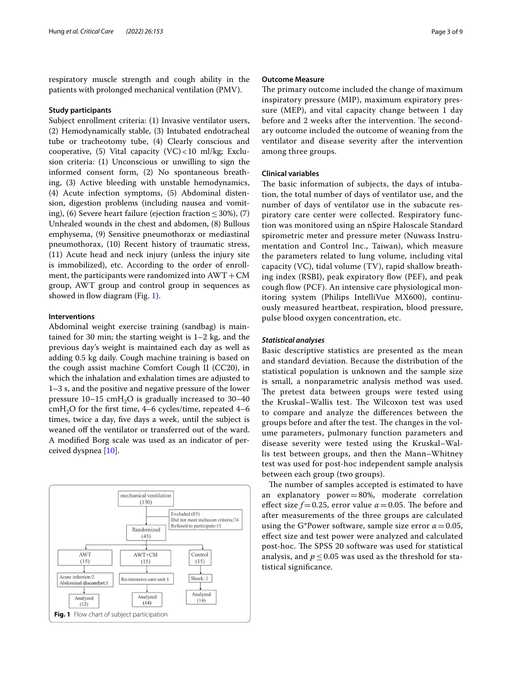respiratory muscle strength and cough ability in the patients with prolonged mechanical ventilation (PMV).

# **Study participants**

Subject enrollment criteria: (1) Invasive ventilator users, (2) Hemodynamically stable, (3) Intubated endotracheal tube or tracheotomy tube, (4) Clearly conscious and cooperative, (5) Vital capacity  $(VC)$  < 10 ml/kg; Exclusion criteria: (1) Unconscious or unwilling to sign the informed consent form, (2) No spontaneous breathing, (3) Active bleeding with unstable hemodynamics, (4) Acute infection symptoms, (5) Abdominal distension, digestion problems (including nausea and vomiting), (6) Severe heart failure (ejection fraction  $\leq 30\%$ ), (7) Unhealed wounds in the chest and abdomen, (8) Bullous emphysema, (9) Sensitive pneumothorax or mediastinal pneumothorax, (10) Recent history of traumatic stress, (11) Acute head and neck injury (unless the injury site is immobilized), etc. According to the order of enrollment, the participants were randomized into  $AWT + CM$ group, AWT group and control group in sequences as showed in flow diagram (Fig. [1](#page-2-0)).

### **Interventions**

Abdominal weight exercise training (sandbag) is maintained for 30 min; the starting weight is 1–2 kg, and the previous day's weight is maintained each day as well as adding 0.5 kg daily. Cough machine training is based on the cough assist machine Comfort Cough II (CC20), in which the inhalation and exhalation times are adjusted to 1–3 s, and the positive and negative pressure of the lower pressure  $10-15$  cmH<sub>2</sub>O is gradually increased to  $30-40$  $cmH<sub>2</sub>O$  for the first time, 4–6 cycles/time, repeated 4–6 times, twice a day, fve days a week, until the subject is weaned off the ventilator or transferred out of the ward. A modifed Borg scale was used as an indicator of perceived dyspnea [[10\]](#page-8-9).

<span id="page-2-0"></span>

# **Outcome Measure**

The primary outcome included the change of maximum inspiratory pressure (MIP), maximum expiratory pressure (MEP), and vital capacity change between 1 day before and 2 weeks after the intervention. The secondary outcome included the outcome of weaning from the ventilator and disease severity after the intervention among three groups.

#### **Clinical variables**

The basic information of subjects, the days of intubation, the total number of days of ventilator use, and the number of days of ventilator use in the subacute respiratory care center were collected. Respiratory function was monitored using an nSpire Haloscale Standard spirometric meter and pressure meter (Nuwass Instrumentation and Control Inc., Taiwan), which measure the parameters related to lung volume, including vital capacity (VC), tidal volume (TV), rapid shallow breathing index (RSBI), peak expiratory flow (PEF), and peak cough flow (PCF). An intensive care physiological monitoring system (Philips IntelliVue MX600), continuously measured heartbeat, respiration, blood pressure, pulse blood oxygen concentration, etc.

# *Statistical analyses*

Basic descriptive statistics are presented as the mean and standard deviation. Because the distribution of the statistical population is unknown and the sample size is small, a nonparametric analysis method was used. The pretest data between groups were tested using the Kruskal–Wallis test. The Wilcoxon test was used to compare and analyze the diferences between the groups before and after the test. The changes in the volume parameters, pulmonary function parameters and disease severity were tested using the Kruskal–Wallis test between groups, and then the Mann–Whitney test was used for post-hoc independent sample analysis between each group (two groups).

The number of samples accepted is estimated to have an explanatory power=80%, moderate correlation effect size  $f=0.25$ , error value  $\alpha = 0.05$ . The before and after measurements of the three groups are calculated using the G\*Power software, sample size error  $\alpha$  = 0.05, efect size and test power were analyzed and calculated post-hoc. The SPSS 20 software was used for statistical analysis, and  $p \le 0.05$  was used as the threshold for statistical signifcance.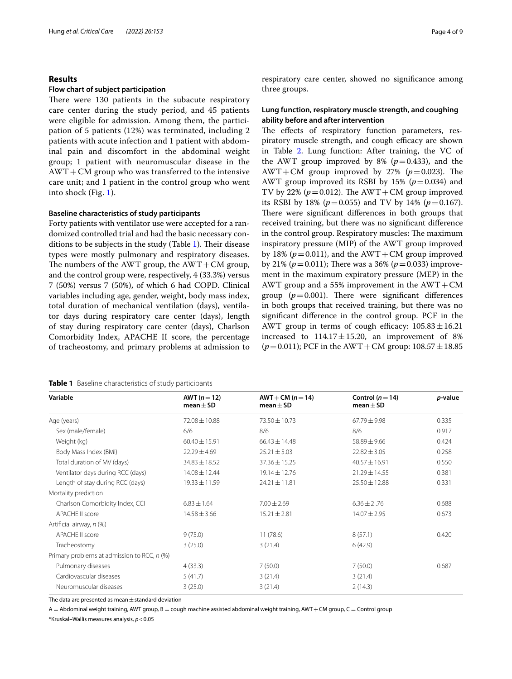# **Results**

### **Flow chart of subject participation**

There were 130 patients in the subacute respiratory care center during the study period, and 45 patients were eligible for admission. Among them, the participation of 5 patients (12%) was terminated, including 2 patients with acute infection and 1 patient with abdominal pain and discomfort in the abdominal weight group; 1 patient with neuromuscular disease in the  $AWT+CM$  group who was transferred to the intensive care unit; and 1 patient in the control group who went into shock (Fig. [1](#page-2-0)).

## **Baseline characteristics of study participants**

Forty patients with ventilator use were accepted for a randomized controlled trial and had the basic necessary con-ditions to be subjects in the study (Table [1](#page-3-0)). Their disease types were mostly pulmonary and respiratory diseases. The numbers of the AWT group, the  $AWT+CM$  group, and the control group were, respectively, 4 (33.3%) versus 7 (50%) versus 7 (50%), of which 6 had COPD. Clinical variables including age, gender, weight, body mass index, total duration of mechanical ventilation (days), ventilator days during respiratory care center (days), length of stay during respiratory care center (days), Charlson Comorbidity Index, APACHE II score, the percentage of tracheostomy, and primary problems at admission to

<span id="page-3-0"></span>

|  | <b>Table 1</b> Baseline characteristics of study participants |  |
|--|---------------------------------------------------------------|--|
|  |                                                               |  |

respiratory care center, showed no signifcance among three groups.

# **Lung function, respiratory muscle strength, and coughing ability before and after intervention**

The effects of respiratory function parameters, respiratory muscle strength, and cough efficacy are shown in Table [2](#page-4-0). Lung function: After training, the VC of the AWT group improved by 8% ( $p=0.433$ ), and the AWT+CM group improved by 27% ( $p=0.023$ ). The AWT group improved its RSBI by 15% ( $p=0.034$ ) and TV by 22% ( $p = 0.012$ ). The AWT + CM group improved its RSBI by 18% ( $p=0.055$ ) and TV by 14% ( $p=0.167$ ). There were significant differences in both groups that received training, but there was no signifcant diference in the control group. Respiratory muscles: The maximum inspiratory pressure (MIP) of the AWT group improved by 18% ( $p = 0.011$ ), and the AWT+CM group improved by 21% ( $p = 0.011$ ); There was a 36% ( $p = 0.033$ ) improvement in the maximum expiratory pressure (MEP) in the AWT group and a 55% improvement in the  $AWT+CM$ group ( $p=0.001$ ). There were significant differences in both groups that received training, but there was no signifcant diference in the control group. PCF in the AWT group in terms of cough efficacy:  $105.83 \pm 16.21$ increased to  $114.17 \pm 15.20$ , an improvement of 8%  $(p=0.011)$ ; PCF in the AWT + CM group:  $108.57 \pm 18.85$ 

| Variable                                    | AWT $(n=12)$<br>mean $\pm$ SD | $AWT + CM (n = 14)$<br>mean $\pm$ SD | Control ( $n = 14$ )<br>mean $\pm$ SD | p-value |
|---------------------------------------------|-------------------------------|--------------------------------------|---------------------------------------|---------|
| Age (years)                                 | $72.08 \pm 10.88$             | 73.50 ± 10.73                        | $67.79 \pm 9.98$                      | 0.335   |
| Sex (male/female)                           | 6/6                           | 8/6                                  | 8/6                                   | 0.917   |
| Weight (kg)                                 | $60.40 \pm 15.91$             | $66.43 \pm 14.48$                    | $58.89 \pm 9.66$                      | 0.424   |
| Body Mass Index (BMI)                       | $22.29 \pm 4.69$              | $25.21 \pm 5.03$                     | $22.82 \pm 3.05$                      | 0.258   |
| Total duration of MV (days)                 | 34.83 ± 18.52                 | $37.36 \pm 15.25$                    | $40.57 \pm 16.91$                     | 0.550   |
| Ventilator days during RCC (days)           | $14.08 \pm 12.44$             | $19.14 \pm 12.76$                    | 21.29 ± 14.55                         | 0.381   |
| Length of stay during RCC (days)            | $19.33 \pm 11.59$             | $24.21 \pm 11.81$                    | 25.50 ± 12.88                         | 0.331   |
| Mortality prediction                        |                               |                                      |                                       |         |
| Charlson Comorbidity Index, CCI             | $6.83 \pm 1.64$               | $7.00 \pm 2.69$                      | $6.36 \pm 2.76$                       | 0.688   |
| APACHE II score                             | $14.58 \pm 3.66$              | $15.21 \pm 2.81$                     | $14.07 \pm 2.95$                      | 0.673   |
| Artificial airway, n (%)                    |                               |                                      |                                       |         |
| APACHE II score                             | 9(75.0)                       | 11(78.6)                             | 8(57.1)                               | 0.420   |
| Tracheostomy                                | 3(25.0)                       | 3(21.4)                              | 6(42.9)                               |         |
| Primary problems at admission to RCC, n (%) |                               |                                      |                                       |         |
| Pulmonary diseases                          | 4(33.3)                       | 7(50.0)                              | 7(50.0)                               | 0.687   |
| Cardiovascular diseases                     | 5(41.7)                       | 3(21.4)                              | 3(21.4)                               |         |
| Neuromuscular diseases                      | 3(25.0)                       | 3(21.4)                              | 2(14.3)                               |         |

The data are presented as mean $\pm$ standard deviation

 $A =$  Abdominal weight training, AWT group, B = cough machine assisted abdominal weight training, AWT + CM group, C = Control group

\*Kruskal–Wallis measures analysis, *p*<0.05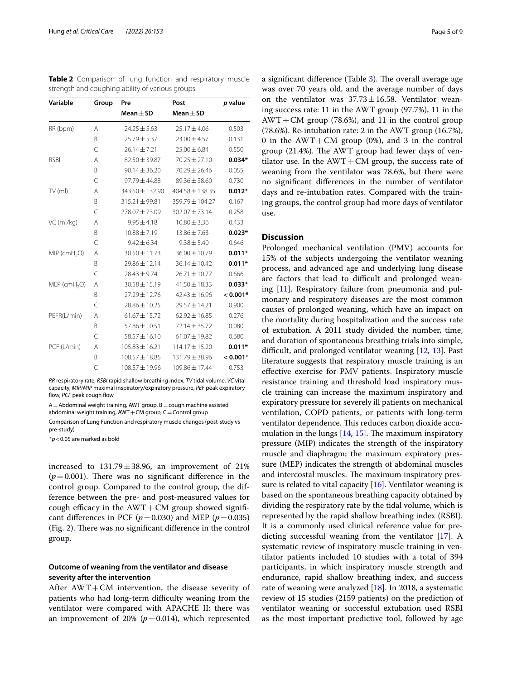<span id="page-4-0"></span>

| Table 2 Comparison of lung function and respiratory muscle |  |  |  |
|------------------------------------------------------------|--|--|--|
| strength and coughing ability of various groups            |  |  |  |

| Variable                   | Group | Pre                | Post                | p value    |
|----------------------------|-------|--------------------|---------------------|------------|
|                            |       | Mean $\pm$ SD      | Mean $\pm$ SD       |            |
| RR (bpm)                   | A     | $24.25 \pm 5.63$   | $25.17 \pm 4.06$    | 0.503      |
|                            | B     | 25.79±5.37         | $23.00 \pm 4.57$    | 0.131      |
|                            | C     | $26.14 \pm 7.21$   | $25.00 \pm 6.84$    | 0.550      |
| <b>RSBI</b>                | A     | 82.50 ± 39.87      | $70.25 \pm 27.10$   | $0.034*$   |
|                            | B     | $90.14 \pm 36.20$  | 70.29 ± 26.46       | 0.055      |
|                            | C     | 97.79±44.88        | 89.36 ± 38.60       | 0.730      |
| TV (ml)                    | A     | 343.50 ± 132.90    | $404.58 \pm 138.35$ | $0.012*$   |
|                            | B     | $315.21 \pm 99.81$ | 359.79 ± 104.27     | 0.167      |
|                            | C     | 278.07 ± 73.09     | 302.07 ± 73.14      | 0.258      |
| VC (ml/kg)                 | A     | $9.95 \pm 4.18$    | $10.80 \pm 3.36$    | 0.433      |
|                            | B     | $10.88 \pm 7.19$   | $13.86 \pm 7.63$    | $0.023*$   |
|                            | C     | $9.42 \pm 6.34$    | $9.38 \pm 5.40$     | 0.646      |
| $MIP$ (cmH <sub>2</sub> O) | Α     | $30.50 \pm 11.73$  | 36.00 ± 10.79       | $0.011*$   |
|                            | B     | 29.86 ± 12.14      | $36.14 \pm 10.42$   | $0.011*$   |
|                            | C     | $28.43 \pm 9.74$   | $26.71 \pm 10.77$   | 0.666      |
| $MEP$ (cmH <sub>2</sub> O) | A     | $30.58 \pm 15.19$  | $41.50 \pm 18.33$   | $0.033*$   |
|                            | B     | 27.29 ± 12.76      | $42.43 \pm 16.96$   | $< 0.001*$ |
|                            | C     | 28.86 ± 10.25      | 29.57 ± 14.21       | 0.900      |
| PEFR(L/min)                | A     | $61.67 \pm 15.72$  | $62.92 \pm 16.85$   | 0.276      |
|                            | B     | 57.86 ± 10.51      | 72.14 ± 35.72       | 0.080      |
|                            | C     | $58.57 \pm 16.10$  | $61.07 \pm 19.82$   | 0.680      |
| PCF (L/min)                | Α     | $105.83 \pm 16.21$ | $114.17 \pm 15.20$  | $0.011*$   |
|                            | B     | $108.57 \pm 18.85$ | 131.79 ± 38.96      | $< 0.001*$ |
|                            | C     | $108.57 \pm 19.96$ | $109.86 \pm 17.44$  | 0.753      |
|                            |       |                    |                     |            |

*RR* respiratory rate, *RSBI* rapid shallow breathing index, *TV* tidal volume, *VC* vital capacity, *MIP/MIP* maximal inspiratory/expiratory pressure, *PEF* peak expiratory flow, PCF peak cough flow

 $A =$ Abdominal weight training, AWT group,  $B =$ cough machine assisted abdominal weight training,  $AWT+CM$  group,  $C=Control$  group

Comparison of Lung Function and respiratory muscle changes (post-study vs pre-study)

\**p*<0.05 are marked as bold

increased to  $131.79 \pm 38.96$ , an improvement of 21%  $(p=0.001)$ . There was no significant difference in the control group. Compared to the control group, the difference between the pre- and post-measured values for cough efficacy in the  $AWT + CM$  group showed significant differences in PCF ( $p=0.030$ ) and MEP ( $p=0.035$ ) (Fig.  $2$ ). There was no significant difference in the control group.

# **Outcome of weaning from the ventilator and disease severity after the intervention**

After AWT+CM intervention, the disease severity of patients who had long-term difficulty weaning from the ventilator were compared with APACHE II: there was an improvement of 20%  $(p=0.014)$ , which represented a significant difference (Table  $3$ ). The overall average age was over 70 years old, and the average number of days on the ventilator was  $37.73 \pm 16.58$ . Ventilator weaning success rate: 11 in the AWT group (97.7%), 11 in the  $AWT+CM$  group (78.6%), and 11 in the control group (78.6%). Re-intubation rate: 2 in the AWT group (16.7%), 0 in the  $AWT+CM$  group (0%), and 3 in the control group  $(21.4\%)$ . The AWT group had fewer days of ventilator use. In the  $AWT+CM$  group, the success rate of weaning from the ventilator was 78.6%, but there were no signifcant diferences in the number of ventilator days and re-intubation rates. Compared with the training groups, the control group had more days of ventilator use.

# **Discussion**

Prolonged mechanical ventilation (PMV) accounts for 15% of the subjects undergoing the ventilator weaning process, and advanced age and underlying lung disease are factors that lead to difficult and prolonged weaning [\[11\]](#page-8-10). Respiratory failure from pneumonia and pulmonary and respiratory diseases are the most common causes of prolonged weaning, which have an impact on the mortality during hospitalization and the success rate of extubation. A 2011 study divided the number, time, and duration of spontaneous breathing trials into simple, difficult, and prolonged ventilator weaning [[12,](#page-8-11) [13\]](#page-8-12). Past literature suggests that respiratory muscle training is an efective exercise for PMV patients. Inspiratory muscle resistance training and threshold load inspiratory muscle training can increase the maximum inspiratory and expiratory pressure for severely ill patients on mechanical ventilation, COPD patients, or patients with long-term ventilator dependence. This reduces carbon dioxide accumulation in the lungs  $[14, 15]$  $[14, 15]$  $[14, 15]$  $[14, 15]$ . The maximum inspiratory pressure (MIP) indicates the strength of the inspiratory muscle and diaphragm; the maximum expiratory pressure (MEP) indicates the strength of abdominal muscles and intercostal muscles. The maximum inspiratory pressure is related to vital capacity  $[16]$  $[16]$ . Ventilator weaning is based on the spontaneous breathing capacity obtained by dividing the respiratory rate by the tidal volume, which is represented by the rapid shallow breathing index (RSBI). It is a commonly used clinical reference value for predicting successful weaning from the ventilator [[17\]](#page-8-16). A systematic review of inspiratory muscle training in ventilator patients included 10 studies with a total of 394 participants, in which inspiratory muscle strength and endurance, rapid shallow breathing index, and success rate of weaning were analyzed  $[18]$  $[18]$ . In 2018, a systematic review of 15 studies (2159 patients) on the prediction of ventilator weaning or successful extubation used RSBI as the most important predictive tool, followed by age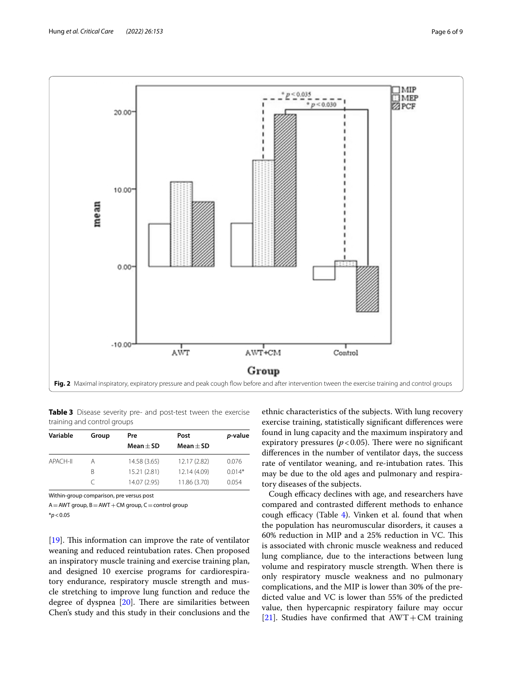

<span id="page-5-1"></span><span id="page-5-0"></span>**Table 3** Disease severity pre- and post-test tween the exercise training and control groups

| Variable | Group | Pre           | Post          | p-value  |
|----------|-------|---------------|---------------|----------|
|          |       | Mean $\pm$ SD | Mean $\pm$ SD |          |
| APACH-II | Α     | 14.58 (3.65)  | 12.17 (2.82)  | 0.076    |
|          | B     | 15.21 (2.81)  | 12.14 (4.09)  | $0.014*$ |
|          |       | 14.07 (2.95)  | 11.86 (3.70)  | 0.054    |

Within-group comparison, pre versus post

 $A = AWT$  group,  $B = AWT + CM$  group,  $C =$  control group

\**p*<0.05

[[19\]](#page-8-18). This information can improve the rate of ventilator weaning and reduced reintubation rates. Chen proposed an inspiratory muscle training and exercise training plan, and designed 10 exercise programs for cardiorespiratory endurance, respiratory muscle strength and muscle stretching to improve lung function and reduce the degree of dyspnea  $[20]$  $[20]$ . There are similarities between Chen's study and this study in their conclusions and the

ethnic characteristics of the subjects. With lung recovery exercise training, statistically signifcant diferences were found in lung capacity and the maximum inspiratory and expiratory pressures ( $p < 0.05$ ). There were no significant diferences in the number of ventilator days, the success rate of ventilator weaning, and re-intubation rates. This may be due to the old ages and pulmonary and respiratory diseases of the subjects.

Cough efficacy declines with age, and researchers have compared and contrasted diferent methods to enhance cough efficacy (Table  $4$ ). Vinken et al. found that when the population has neuromuscular disorders, it causes a 60% reduction in MIP and a 25% reduction in VC. This is associated with chronic muscle weakness and reduced lung compliance, due to the interactions between lung volume and respiratory muscle strength. When there is only respiratory muscle weakness and no pulmonary complications, and the MIP is lower than 30% of the predicted value and VC is lower than 55% of the predicted value, then hypercapnic respiratory failure may occur [[21\]](#page-8-20). Studies have confirmed that  $AWT + CM$  training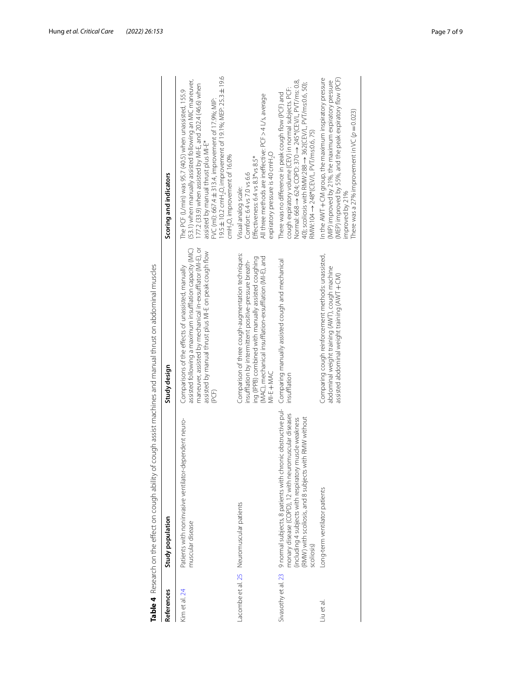<span id="page-6-0"></span>

|                     | Table 4 Research on the effect on cough ability of cough assist machines and manual thrust on abdominal muscles                                                                                                                                        |                                                                                                                                                                                                                                                 |                                                                                                                                                                                                                                                                                                                                                                                                     |
|---------------------|--------------------------------------------------------------------------------------------------------------------------------------------------------------------------------------------------------------------------------------------------------|-------------------------------------------------------------------------------------------------------------------------------------------------------------------------------------------------------------------------------------------------|-----------------------------------------------------------------------------------------------------------------------------------------------------------------------------------------------------------------------------------------------------------------------------------------------------------------------------------------------------------------------------------------------------|
| References          | Study population                                                                                                                                                                                                                                       | Study design                                                                                                                                                                                                                                    | Scoring and indicators                                                                                                                                                                                                                                                                                                                                                                              |
| Kim et al. 24       | Patients with noninvasive ventilator-dependent neuro-<br>muscular disease                                                                                                                                                                              | maneuver, assisted by mechanical in-exsufflator (MI-E), or<br>assisted following a maximum insufflation capacity (MIC)<br>assisted by manual thrust plus MI-E on peak cough flow<br>Comparisons of the effects of unassisted, manually<br>(PCF) | 9.5 ± 10.2 cmH <sub>2</sub> O, improvement of 19.1%; MEP: 25.3 ± 19.6<br>(53.1) when manually assisted following an MIC maneuver,<br>177.2 (33.9) when assisted by MI-E, and 202.4 (46.6) when<br>The PCF (L/min) was 95.7 (40.5) when unassisted, 155.9<br>FVC (ml): 667.4 ± 313.4, improvement of 17.9%; MIP:<br>assisted by manual thrust plus MI-E*<br>cmH <sub>2</sub> O, improvement of 16.0% |
|                     | Lacombe et al. 25 Neuromuscular patients                                                                                                                                                                                                               | Comparison of three cough-augmentation techniques:<br>(MAC), mechanical insufflation-exsufflation (MI-E), and<br>ing (IPPB) combined with manually assisted coughing<br>insufflation by intermittent positive-pressure breath-<br>MI-E + MAC    | All three methods are ineffective: PCF > 4 L/s, average<br>expiratory pressure is 40 cmH <sub>2</sub> O<br>Effectiveness: 6.4 vs 8.3*vs 8.5*<br>Comfort: 6.4 vs 7.0 vs 6.6<br>Visual analog scale:                                                                                                                                                                                                  |
| Sivasothy et al. 23 | 9 normal subjects, 8 patients with chronic obstructive pul-<br>monary disease (COPD), 12 with neuromuscular diseases<br>RMW) with scoliosis, and 8 subjects with RMW without<br>(including 4 subjects with respiratory muscle weakness)<br>scolliosis) | Comparing manually assisted cough and mechanical<br>insufflation                                                                                                                                                                                | Normal: 668 → 624; COPD: 370 ↑ 245*(UEV/L, PVT/ms: 0.8,<br>40); scoliosis with RMW:288 $\rightarrow$ 362(CEV/L, PVT/ms:0.6, 50);<br>cough expiratory volume (CEV) in normal subjects. PCF:<br>There was no difference in peak cough flow (PCF) and<br>$RMW:104 \rightarrow 248*(CEV/L, PVT/ms:0.6, 75)$                                                                                             |
| Liu et al.          | ong-term ventilator patients                                                                                                                                                                                                                           | Comparing cough reinforcement methods: unassisted,<br>abdominal weight training (AWT), cough machine<br>assisted abdominal weight training (AWT + CM)                                                                                           | (MEP) improved by 55%, and the peak expiratory flow (PCF)<br>In the AWT + CM group, the maximum inspiratory pressure<br>(MIP) improved by 21%, the maximum expiratory pressure<br>There was a 27% improvement in VC ( $p = 0.023$ )<br>improved by 21%                                                                                                                                              |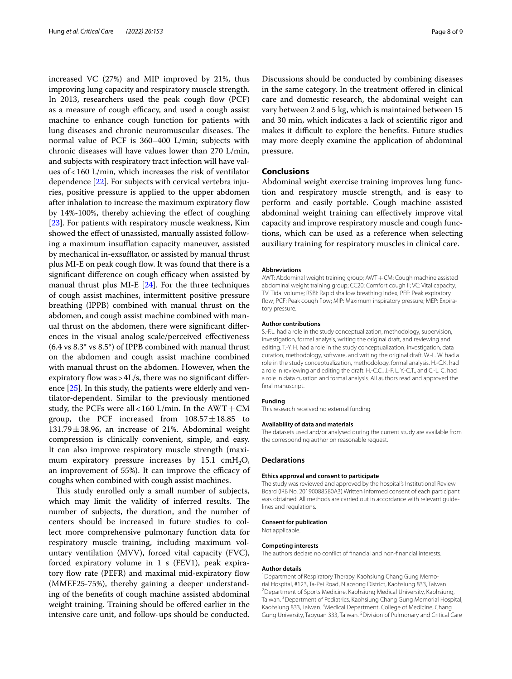increased VC (27%) and MIP improved by 21%, thus improving lung capacity and respiratory muscle strength. In 2013, researchers used the peak cough flow (PCF) as a measure of cough efficacy, and used a cough assist machine to enhance cough function for patients with lung diseases and chronic neuromuscular diseases. The normal value of PCF is 360–400 L/min; subjects with chronic diseases will have values lower than 270 L/min, and subjects with respiratory tract infection will have values of<160 L/min, which increases the risk of ventilator dependence [\[22](#page-8-24)]. For subjects with cervical vertebra injuries, positive pressure is applied to the upper abdomen after inhalation to increase the maximum expiratory fow by 14%-100%, thereby achieving the efect of coughing [[23\]](#page-8-23). For patients with respiratory muscle weakness, Kim showed the efect of unassisted, manually assisted following a maximum insufflation capacity maneuver, assisted by mechanical in-exsufflator, or assisted by manual thrust plus MI-E on peak cough flow. It was found that there is a significant difference on cough efficacy when assisted by manual thrust plus MI-E [\[24](#page-8-21)]. For the three techniques of cough assist machines, intermittent positive pressure breathing (IPPB) combined with manual thrust on the abdomen, and cough assist machine combined with manual thrust on the abdomen, there were signifcant diferences in the visual analog scale/perceived efectiveness (6.4 vs 8.3\* vs 8.5\*) of IPPB combined with manual thrust on the abdomen and cough assist machine combined with manual thrust on the abdomen. However, when the expiratory flow was >  $4L/s$ , there was no significant difference [[25\]](#page-8-22). In this study, the patients were elderly and ventilator-dependent. Similar to the previously mentioned study, the PCFs were all < 160 L/min. In the  $AWT+CM$ group, the PCF increased from  $108.57 \pm 18.85$  to  $131.79 \pm 38.96$ , an increase of 21%. Abdominal weight compression is clinically convenient, simple, and easy. It can also improve respiratory muscle strength (maximum expiratory pressure increases by  $15.1 \text{ cm}H_2O$ , an improvement of 55%). It can improve the efficacy of coughs when combined with cough assist machines.

This study enrolled only a small number of subjects, which may limit the validity of inferred results. The number of subjects, the duration, and the number of centers should be increased in future studies to collect more comprehensive pulmonary function data for respiratory muscle training, including maximum voluntary ventilation (MVV), forced vital capacity (FVC), forced expiratory volume in 1 s (FEV1), peak expiratory flow rate (PEFR) and maximal mid-expiratory flow (MMEF25-75%), thereby gaining a deeper understanding of the benefts of cough machine assisted abdominal weight training. Training should be offered earlier in the intensive care unit, and follow-ups should be conducted.

Discussions should be conducted by combining diseases in the same category. In the treatment ofered in clinical care and domestic research, the abdominal weight can vary between 2 and 5 kg, which is maintained between 15 and 30 min, which indicates a lack of scientifc rigor and makes it difficult to explore the benefits. Future studies may more deeply examine the application of abdominal pressure.

# **Conclusions**

Abdominal weight exercise training improves lung function and respiratory muscle strength, and is easy to perform and easily portable. Cough machine assisted abdominal weight training can efectively improve vital capacity and improve respiratory muscle and cough functions, which can be used as a reference when selecting auxiliary training for respiratory muscles in clinical care.

#### **Abbreviations**

AWT: Abdominal weight training group; AWT+CM: Cough machine assisted abdominal weight training group; CC20: Comfort cough II; VC: Vital capacity; TV: Tidal volume; RSBI: Rapid shallow breathing index; PEF: Peak expiratory flow; PCF: Peak cough flow; MIP: Maximum inspiratory pressure; MEP: Expiratory pressure.

#### **Author contributions**

S.-F.L. had a role in the study conceptualization, methodology, supervision, investigation, formal analysis, writing the original draft, and reviewing and editing. T.-Y. H. had a role in the study conceptualization, investigation, data curation, methodology, software, and writing the original draft. W.-L. W. had a role in the study conceptualization, methodology, formal analysis. H.-C.K. had a role in reviewing and editing the draft. H.-C.C., J.-F, L. Y.-C.T., and C.-L. C. had a role in data curation and formal analysis. All authors read and approved the final manuscript.

#### **Funding**

This research received no external funding.

#### **Availability of data and materials**

The datasets used and/or analysed during the current study are available from the corresponding author on reasonable request.

#### **Declarations**

#### **Ethics approval and consent to participate**

The study was reviewed and approved by the hospital's Institutional Review Board (IRB No. 201900885B0A3) Written informed consent of each participant was obtained. All methods are carried out in accordance with relevant guidelines and regulations.

#### **Consent for publication**

Not applicable.

#### **Competing interests**

The authors declare no confict of fnancial and non-fnancial interests.

#### **Author details**

<sup>1</sup> Department of Respiratory Therapy, Kaohsiung Chang Gung Memorial Hospital, #123, Ta‑Pei Road, Niaosong District, Kaohsiung 833, Taiwan. 2 Department of Sports Medicine, Kaohsiung Medical University, Kaohsiung, Taiwan.<sup>3</sup> Department of Pediatrics, Kaohsiung Chang Gung Memorial Hospital, Kaohsiung 833, Taiwan. <sup>4</sup> Medical Department, College of Medicine, Chang Gung University, Taoyuan 333, Taiwan. <sup>5</sup> Division of Pulmonary and Critical Care